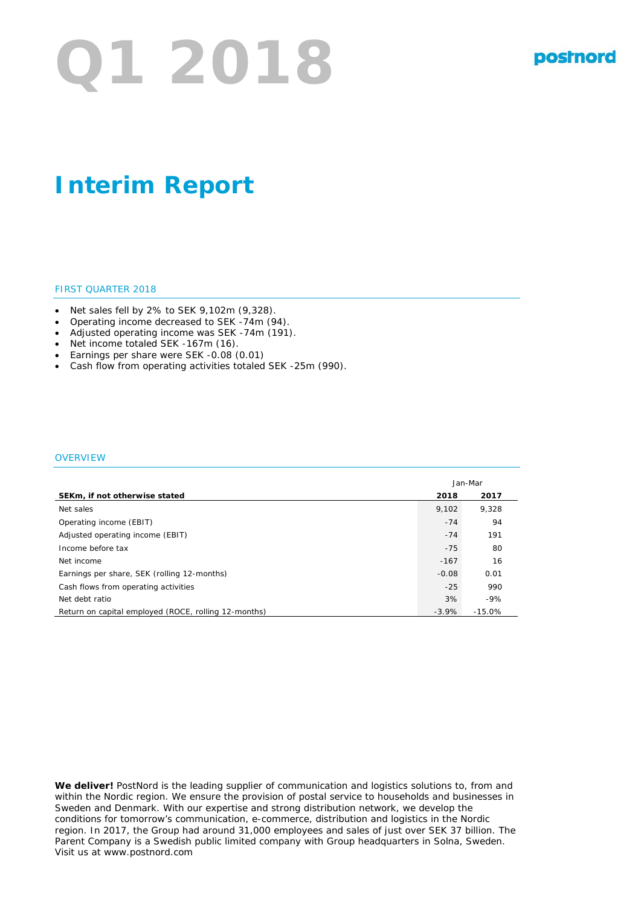# **Q1 2018**

# **Interim Report**

#### FIRST QUARTER 2018

- Net sales fell by 2% to SEK 9,102m (9,328).
- Operating income decreased to SEK -74m (94).
- Adjusted operating income was SEK -74m (191).
- Net income totaled SEK -167m (16).
- Earnings per share were SEK -0.08 (0.01)
- Cash flow from operating activities totaled SEK -25m (990).

#### **OVERVIEW**

|                                                      | Jan-Mar |          |
|------------------------------------------------------|---------|----------|
| SEKm, if not otherwise stated                        | 2018    | 2017     |
| Net sales                                            | 9.102   | 9.328    |
| Operating income (EBIT)                              | $-74$   | 94       |
| Adjusted operating income (EBIT)                     | $-74$   | 191      |
| Income before tax                                    | $-75$   | 80       |
| Net income                                           | $-167$  | 16       |
| Earnings per share, SEK (rolling 12-months)          | $-0.08$ | 0.01     |
| Cash flows from operating activities                 | $-25$   | 990      |
| Net debt ratio                                       | 3%      | $-9%$    |
| Return on capital employed (ROCE, rolling 12-months) | $-3.9%$ | $-15.0%$ |

**We deliver!** PostNord is the leading supplier of communication and logistics solutions to, from and within the Nordic region. We ensure the provision of postal service to households and businesses in Sweden and Denmark. With our expertise and strong distribution network, we develop the conditions for tomorrow's communication, e-commerce, distribution and logistics in the Nordic region. In 2017, the Group had around 31,000 employees and sales of just over SEK 37 billion. The Parent Company is a Swedish public limited company with Group headquarters in Solna, Sweden. Visit us at www.postnord.com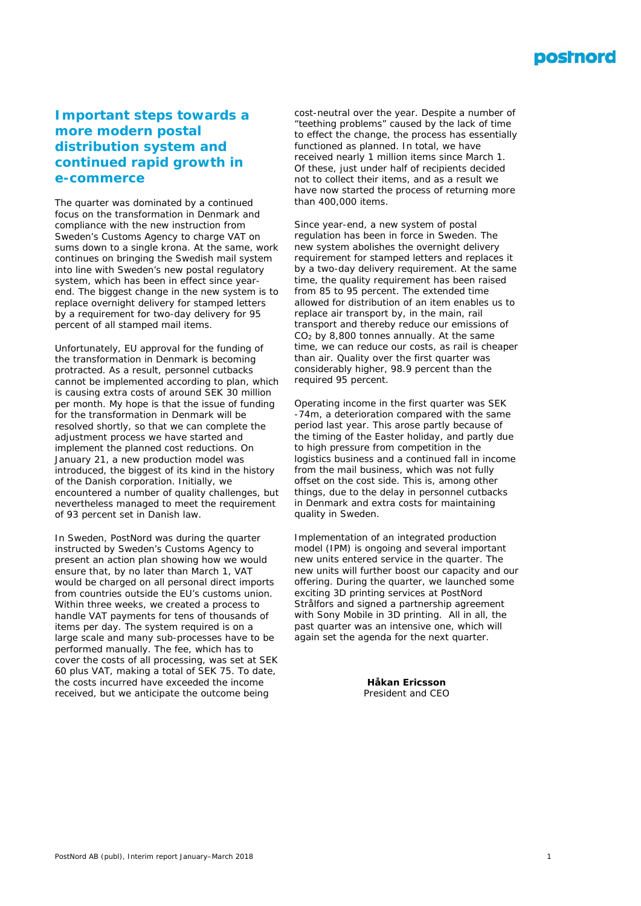

## **Important steps towards a more modern postal distribution system and continued rapid growth in e-commerce**

*The quarter was dominated by a continued focus on the transformation in Denmark and compliance with the new instruction from Sweden's Customs Agency to charge VAT on sums down to a single krona. At the same, work continues on bringing the Swedish mail system into line with Sweden's new postal regulatory system, which has been in effect since yearend. The biggest change in the new system is to replace overnight delivery for stamped letters by a requirement for two-day delivery for 95 percent of all stamped mail items.*

Unfortunately, EU approval for the funding of the transformation in Denmark is becoming protracted. As a result, personnel cutbacks cannot be implemented according to plan, which is causing extra costs of around SEK 30 million per month. My hope is that the issue of funding for the transformation in Denmark will be resolved shortly, so that we can complete the adjustment process we have started and implement the planned cost reductions. On January 21, a new production model was introduced, the biggest of its kind in the history of the Danish corporation. Initially, we encountered a number of quality challenges, but nevertheless managed to meet the requirement of 93 percent set in Danish law.

In Sweden, PostNord was during the quarter instructed by Sweden's Customs Agency to present an action plan showing how we would ensure that, by no later than March 1, VAT would be charged on all personal direct imports from countries outside the EU's customs union. Within three weeks, we created a process to handle VAT payments for tens of thousands of items per day. The system required is on a large scale and many sub-processes have to be performed manually. The fee, which has to cover the costs of all processing, was set at SEK 60 plus VAT, making a total of SEK 75. To date, the costs incurred have exceeded the income received, but we anticipate the outcome being

cost-neutral over the year. Despite a number of "teething problems" caused by the lack of time to effect the change, the process has essentially functioned as planned. In total, we have received nearly 1 million items since March 1. Of these, just under half of recipients decided not to collect their items, and as a result we have now started the process of returning more than 400,000 items.

Since year-end, a new system of postal regulation has been in force in Sweden. The new system abolishes the overnight delivery requirement for stamped letters and replaces it by a two-day delivery requirement. At the same time, the quality requirement has been raised from 85 to 95 percent. The extended time allowed for distribution of an item enables us to replace air transport by, in the main, rail transport and thereby reduce our emissions of  $CO<sub>2</sub>$  by 8,800 tonnes annually. At the same time, we can reduce our costs, as rail is cheaper than air. Quality over the first quarter was considerably higher, 98.9 percent than the required 95 percent.

Operating income in the first quarter was SEK -74m, a deterioration compared with the same period last year. This arose partly because of the timing of the Easter holiday, and partly due to high pressure from competition in the logistics business and a continued fall in income from the mail business, which was not fully offset on the cost side. This is, among other things, due to the delay in personnel cutbacks in Denmark and extra costs for maintaining quality in Sweden.

Implementation of an integrated production model (IPM) is ongoing and several important new units entered service in the quarter. The new units will further boost our capacity and our offering. During the quarter, we launched some exciting 3D printing services at PostNord Strålfors and signed a partnership agreement with Sony Mobile in 3D printing. All in all, the past quarter was an intensive one, which will again set the agenda for the next quarter.

> **Håkan Ericsson** *President and CEO*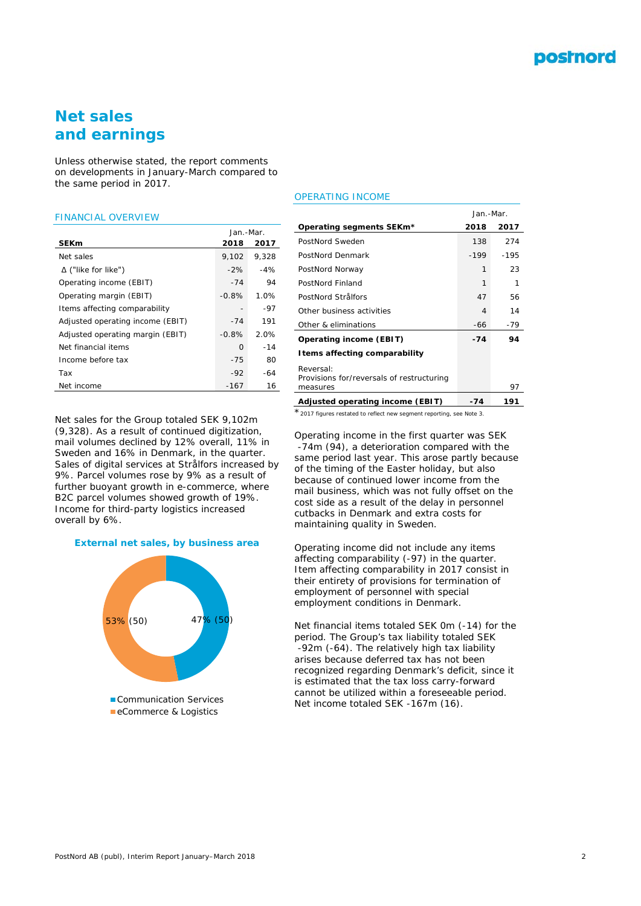

## **Net sales and earnings**

*Unless otherwise stated, the report comments on developments in January-March compared to the same period in 2017.*

#### FINANCIAL OVERVIEW

|                                  | Jan.-Mar. |       |  |
|----------------------------------|-----------|-------|--|
| <b>SEKm</b>                      | 2018      | 2017  |  |
| Net sales                        | 9,102     | 9,328 |  |
| $\Delta$ ("like for like")       | $-2\%$    | $-4%$ |  |
| Operating income (EBIT)          | $-74$     | 94    |  |
| Operating margin (EBIT)          | $-0.8%$   | 1.0%  |  |
| Items affecting comparability    |           | -97   |  |
| Adjusted operating income (EBIT) | $-74$     | 191   |  |
| Adjusted operating margin (EBIT) | $-0.8%$   | 2.0%  |  |
| Net financial items              | $\Omega$  | $-14$ |  |
| Income before tax                | $-75$     | 80    |  |
| Tax                              | $-92$     | -64   |  |
| Net income                       | $-167$    | 16    |  |

Net sales for the Group totaled SEK 9,102m (9,328). As a result of continued digitization, mail volumes declined by 12% overall, 11% in Sweden and 16% in Denmark, in the quarter. Sales of digital services at Strålfors increased by 9%. Parcel volumes rose by 9% as a result of further buoyant growth in e-commerce, where B2C parcel volumes showed growth of 19%. Income for third-party logistics increased overall by 6%.





## OPERATING INCOME

|                                           | Jan.-Mar. |        |
|-------------------------------------------|-----------|--------|
| Operating segments SEKm*                  | 2018      | 2017   |
| PostNord Sweden                           | 138       | 274    |
| PostNord Denmark                          | $-199$    | $-195$ |
| PostNord Norway                           | 1         | 23     |
| PostNord Finland                          | 1         | 1      |
| PostNord Strålfors                        | 47        | 56     |
| Other business activities                 | 4         | 14     |
| Other & eliminations                      | -66       | -79    |
| Operating income (EBIT)                   | $-74$     | 94     |
| I tems affecting comparability            |           |        |
| Reversal:                                 |           |        |
| Provisions for/reversals of restructuring |           |        |
| measures                                  |           | 97     |
| Adjusted operating income (EBIT)          | -74       | 191    |

\**2017 figures restated to reflect new segment reporting, see Note 3.*

Operating income in the first quarter was SEK -74m (94), a deterioration compared with the same period last year. This arose partly because of the timing of the Easter holiday, but also because of continued lower income from the mail business, which was not fully offset on the cost side as a result of the delay in personnel cutbacks in Denmark and extra costs for maintaining quality in Sweden.

Operating income did not include any items affecting comparability (-97) in the quarter. Item affecting comparability in 2017 consist in their entirety of provisions for termination of employment of personnel with special employment conditions in Denmark.

Net financial items totaled SEK 0m (-14) for the period. The Group's tax liability totaled SEK -92m (-64). The relatively high tax liability arises because deferred tax has not been recognized regarding Denmark's deficit, since it is estimated that the tax loss carry-forward cannot be utilized within a foreseeable period. Net income totaled SEK -167m (16).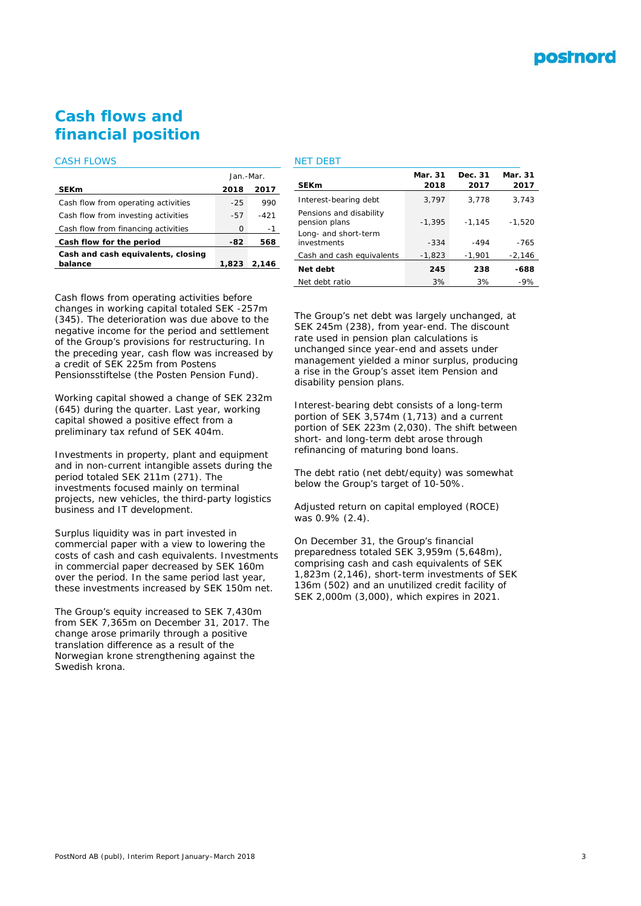

## **Cash flows and financial position**

## CASH FLOWS

| <b>SEKm</b><br>2017<br>2018<br>Cash flow from operating activities<br>$-25$<br>990<br>Cash flow from investing activities<br>$-57$<br>-421<br>Ω<br>-1 |                                     | Jan.-Mar. |  |
|-------------------------------------------------------------------------------------------------------------------------------------------------------|-------------------------------------|-----------|--|
|                                                                                                                                                       |                                     |           |  |
|                                                                                                                                                       |                                     |           |  |
|                                                                                                                                                       |                                     |           |  |
|                                                                                                                                                       | Cash flow from financing activities |           |  |
| Cash flow for the period<br>-82<br>568                                                                                                                |                                     |           |  |
| Cash and cash equivalents, closing                                                                                                                    |                                     |           |  |
| balance<br>1,823<br>2.146                                                                                                                             |                                     |           |  |

## NET DEBT

| <b>SEKm</b>                              | Mar. 31<br>2018 | Dec. 31<br>2017 | Mar. 31<br>2017 |
|------------------------------------------|-----------------|-----------------|-----------------|
| Interest-bearing debt                    | 3.797           | 3.778           | 3.743           |
| Pensions and disability<br>pension plans | $-1.395$        | $-1,145$        | $-1.520$        |
| Long- and short-term<br>investments      | $-334$          | $-494$          | $-765$          |
| Cash and cash equivalents                | $-1,823$        | $-1,901$        | $-2,146$        |
| Net debt                                 | 245             | 238             | $-688$          |
| Net debt ratio                           | 3%              | 3%              | $-9%$           |

Cash flows from operating activities before changes in working capital totaled SEK -257m (345). The deterioration was due above to the negative income for the period and settlement of the Group's provisions for restructuring. In the preceding year, cash flow was increased by a credit of SEK 225m from Postens Pensionsstiftelse (the Posten Pension Fund).

Working capital showed a change of SEK 232m (645) during the quarter. Last year, working capital showed a positive effect from a preliminary tax refund of SEK 404m.

Investments in property, plant and equipment and in non-current intangible assets during the period totaled SEK 211m (271). The investments focused mainly on terminal projects, new vehicles, the third-party logistics business and IT development.

Surplus liquidity was in part invested in commercial paper with a view to lowering the costs of cash and cash equivalents. Investments in commercial paper decreased by SEK 160m over the period. In the same period last year, these investments increased by SEK 150m net.

The Group's equity increased to SEK 7,430m from SEK 7,365m on December 31, 2017. The change arose primarily through a positive translation difference as a result of the Norwegian krone strengthening against the Swedish krona.

The Group's net debt was largely unchanged, at SEK 245m (238), from year-end. The discount rate used in pension plan calculations is unchanged since year-end and assets under management yielded a minor surplus, producing a rise in the Group's asset item Pension and disability pension plans.

Interest-bearing debt consists of a long-term portion of SEK 3,574m (1,713) and a current portion of SEK 223m (2,030). The shift between short- and long-term debt arose through refinancing of maturing bond loans.

The debt ratio (net debt/equity) was somewhat below the Group's target of 10-50%.

Adjusted return on capital employed (ROCE) was 0.9% (2.4).

On December 31, the Group's financial preparedness totaled SEK 3,959m (5,648m), comprising cash and cash equivalents of SEK 1,823m (2,146), short-term investments of SEK 136m (502) and an unutilized credit facility of SEK 2,000m (3,000), which expires in 2021.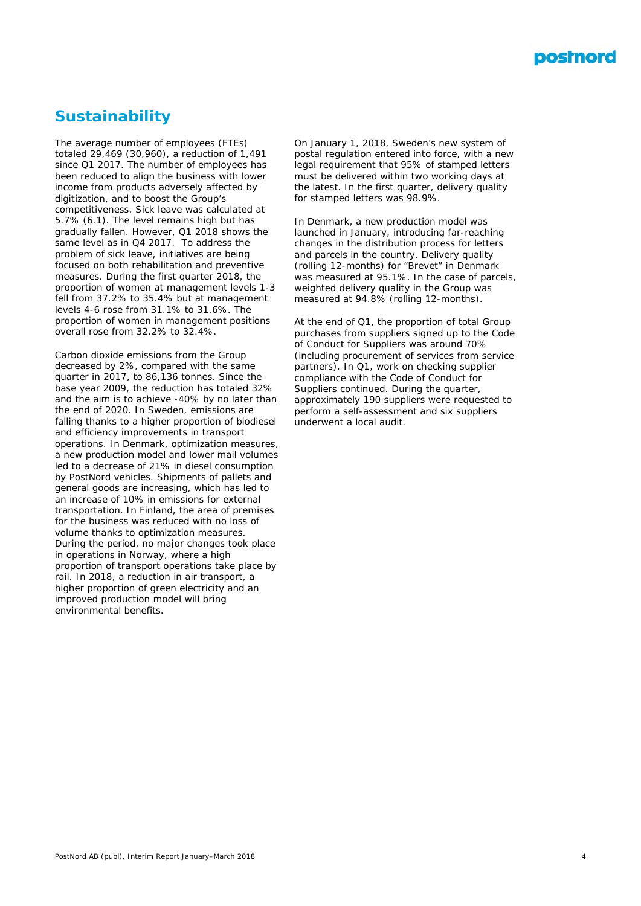

## **Sustainability**

The average number of employees (FTEs) totaled 29,469 (30,960), a reduction of 1,491 since Q1 2017. The number of employees has been reduced to align the business with lower income from products adversely affected by digitization, and to boost the Group's competitiveness. Sick leave was calculated at 5.7% (6.1). The level remains high but has gradually fallen. However, Q1 2018 shows the same level as in Q4 2017. To address the problem of sick leave, initiatives are being focused on both rehabilitation and preventive measures. During the first quarter 2018, the proportion of women at management levels 1-3 fell from 37.2% to 35.4% but at management levels 4-6 rose from 31.1% to 31.6%. The proportion of women in management positions overall rose from 32.2% to 32.4%.

Carbon dioxide emissions from the Group decreased by 2%, compared with the same quarter in 2017, to 86,136 tonnes. Since the base year 2009, the reduction has totaled 32% and the aim is to achieve -40% by no later than the end of 2020. In Sweden, emissions are falling thanks to a higher proportion of biodiesel and efficiency improvements in transport operations. In Denmark, optimization measures, a new production model and lower mail volumes led to a decrease of 21% in diesel consumption by PostNord vehicles. Shipments of pallets and general goods are increasing, which has led to an increase of 10% in emissions for external transportation. In Finland, the area of premises for the business was reduced with no loss of volume thanks to optimization measures. During the period, no major changes took place in operations in Norway, where a high proportion of transport operations take place by rail. In 2018, a reduction in air transport, a higher proportion of green electricity and an improved production model will bring environmental benefits.

On January 1, 2018, Sweden's new system of postal regulation entered into force, with a new legal requirement that 95% of stamped letters must be delivered within two working days at the latest. In the first quarter, delivery quality for stamped letters was 98.9%.

In Denmark, a new production model was launched in January, introducing far-reaching changes in the distribution process for letters and parcels in the country. Delivery quality (rolling 12-months) for "Brevet" in Denmark was measured at 95.1%. In the case of parcels, weighted delivery quality in the Group was measured at 94.8% (rolling 12-months).

At the end of Q1, the proportion of total Group purchases from suppliers signed up to the Code of Conduct for Suppliers was around 70% (including procurement of services from service partners). In Q1, work on checking supplier compliance with the Code of Conduct for Suppliers continued. During the quarter, approximately 190 suppliers were requested to perform a self-assessment and six suppliers underwent a local audit.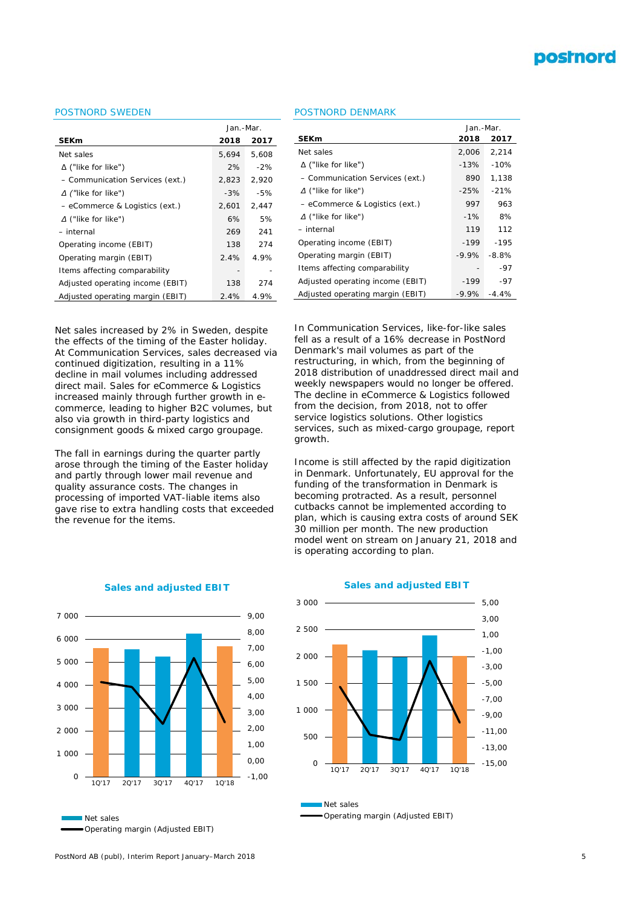

## POSTNORD SWEDEN

|                                  | Jan.-Mar. |       |  |
|----------------------------------|-----------|-------|--|
| <b>SEKm</b>                      | 2018      | 2017  |  |
| Net sales                        | 5,694     | 5,608 |  |
| $\Delta$ ("like for like")       | 2%        | $-2%$ |  |
| - Communication Services (ext.)  | 2,823     | 2,920 |  |
| $\Delta$ ("like for like")       | $-3%$     | $-5%$ |  |
| - eCommerce & Logistics (ext.)   | 2,601     | 2,447 |  |
| $\Delta$ ("like for like")       | 6%        | 5%    |  |
| - internal                       | 269       | 241   |  |
| Operating income (EBIT)          | 138       | 274   |  |
| Operating margin (EBIT)          | 2.4%      | 4.9%  |  |
| Items affecting comparability    |           |       |  |
| Adjusted operating income (EBIT) | 138       | 274   |  |
| Adjusted operating margin (EBIT) | 2.4%      | 4.9%  |  |

#### POSTNORD DENMARK

|                                  | Jan.-Mar.    |         |  |
|----------------------------------|--------------|---------|--|
| <b>SEKm</b>                      | 2018<br>2017 |         |  |
| Net sales                        | 2,006        | 2,214   |  |
| $\Delta$ ("like for like")       | $-13%$       | $-10%$  |  |
| - Communication Services (ext.)  | 890          | 1.138   |  |
| $\Delta$ ("like for like")       | -25%         | $-21%$  |  |
| - eCommerce & Logistics (ext.)   | 997          | 963     |  |
| $\Delta$ ("like for like")       | $-1%$        | 8%      |  |
| – internal                       | 119          | 112     |  |
| Operating income (EBIT)          | -199         | $-195$  |  |
| Operating margin (EBIT)          | $-9.9\%$     | $-8.8%$ |  |
| Items affecting comparability    |              | -97     |  |
| Adjusted operating income (EBIT) | -199         | -97     |  |
| Adjusted operating margin (EBIT) | -9.9%        | $-4.4%$ |  |
|                                  |              |         |  |

Net sales increased by 2% in Sweden, despite the effects of the timing of the Easter holiday. At Communication Services, sales decreased via continued digitization, resulting in a 11% decline in mail volumes including addressed direct mail. Sales for eCommerce & Logistics increased mainly through further growth in ecommerce, leading to higher B2C volumes, but also via growth in third-party logistics and consignment goods & mixed cargo groupage.

The fall in earnings during the quarter partly arose through the timing of the Easter holiday and partly through lower mail revenue and quality assurance costs. The changes in processing of imported VAT-liable items also gave rise to extra handling costs that exceeded the revenue for the items.



#### **Sales and adjusted EBIT**

Operating margin (Adjusted EBIT)

In Communication Services, like-for-like sales fell as a result of a 16% decrease in PostNord Denmark's mail volumes as part of the restructuring, in which, from the beginning of 2018 distribution of unaddressed direct mail and weekly newspapers would no longer be offered. The decline in eCommerce & Logistics followed from the decision, from 2018, not to offer service logistics solutions. Other logistics services, such as mixed-cargo groupage, report growth.

Income is still affected by the rapid digitization in Denmark. Unfortunately, EU approval for the funding of the transformation in Denmark is becoming protracted. As a result, personnel cutbacks cannot be implemented according to plan, which is causing extra costs of around SEK 30 million per month. The new production model went on stream on January 21, 2018 and is operating according to plan.





Net sales Operating margin (Adjusted EBIT)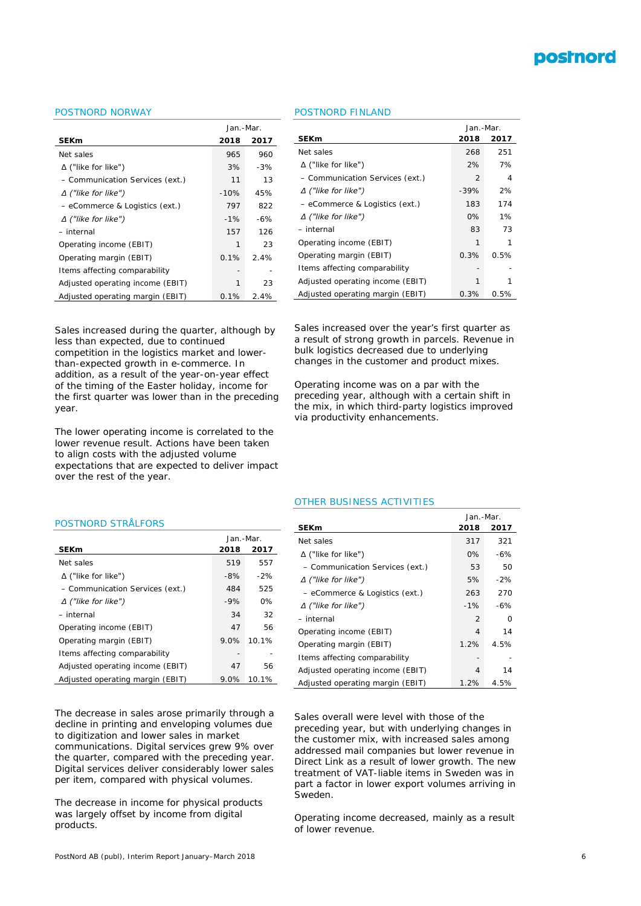

## POSTNORD NORWAY

|                                  | Jan.-Mar. |       |  |
|----------------------------------|-----------|-------|--|
| <b>SEKm</b>                      | 2018      | 2017  |  |
| Net sales                        | 965       | 960   |  |
| $\Delta$ ("like for like")       | 3%        | $-3%$ |  |
| - Communication Services (ext.)  | 11        | 13    |  |
| $\Delta$ ("like for like")       | $-10%$    | 45%   |  |
| - eCommerce & Logistics (ext.)   | 797       | 822   |  |
| $\Delta$ ("like for like")       | $-1\%$    | $-6%$ |  |
| - internal                       | 157       | 126   |  |
| Operating income (EBIT)          | 1         | 23    |  |
| Operating margin (EBIT)          | 0.1%      | 2.4%  |  |
| Items affecting comparability    |           |       |  |
| Adjusted operating income (EBIT) | 1         | 23    |  |
| Adjusted operating margin (EBIT) | 0.1%      | 2.4%  |  |

POSTNORD FINLAND

|                                  | Jan.-Mar. |      |  |
|----------------------------------|-----------|------|--|
| <b>SEKm</b>                      | 2018      | 2017 |  |
| Net sales                        | 268       | 251  |  |
| $\Delta$ ("like for like")       | 2%        | 7%   |  |
| - Communication Services (ext.)  | 2         | 4    |  |
| $\Delta$ ("like for like")       | $-39%$    | 2%   |  |
| - eCommerce & Logistics (ext.)   | 183       | 174  |  |
| $\Delta$ ("like for like")       | 0%        | 1%   |  |
| - internal                       | 83        | 73   |  |
| Operating income (EBIT)          | 1         | 1    |  |
| Operating margin (EBIT)          | 0.3%      | 0.5% |  |
| Items affecting comparability    |           |      |  |
| Adjusted operating income (EBIT) | 1         |      |  |
| Adjusted operating margin (EBIT) | 0.3%      | 0.5% |  |

Sales increased during the quarter, although by less than expected, due to continued competition in the logistics market and lowerthan-expected growth in e-commerce. In addition, as a result of the year-on-year effect of the timing of the Easter holiday, income for the first quarter was lower than in the preceding year.

The lower operating income is correlated to the lower revenue result. Actions have been taken to align costs with the adjusted volume expectations that are expected to deliver impact over the rest of the year.

Sales increased over the year's first quarter as a result of strong growth in parcels. Revenue in bulk logistics decreased due to underlying changes in the customer and product mixes.

Operating income was on a par with the preceding year, although with a certain shift in the mix, in which third-party logistics improved via productivity enhancements.

#### POSTNORD STRÅLFORS

|                                  | Jan.-Mar. |       |  |
|----------------------------------|-----------|-------|--|
| <b>SEKm</b>                      | 2018      | 2017  |  |
| Net sales                        | 519       | 557   |  |
| $\Delta$ ("like for like")       | $-8%$     | $-2%$ |  |
| - Communication Services (ext.)  | 484       | 525   |  |
| $\Delta$ ("like for like")       | $-9%$     | 0%    |  |
| – internal                       | 34        | 32    |  |
| Operating income (EBIT)          | 47        | 56    |  |
| Operating margin (EBIT)          | 9.0%      | 10.1% |  |
| Items affecting comparability    |           |       |  |
| Adjusted operating income (EBIT) | 47        | 56    |  |
| Adjusted operating margin (EBIT) | $9.0\%$   | 10.1% |  |

The decrease in sales arose primarily through a decline in printing and enveloping volumes due to digitization and lower sales in market communications. Digital services grew 9% over the quarter, compared with the preceding year. Digital services deliver considerably lower sales per item, compared with physical volumes.

The decrease in income for physical products was largely offset by income from digital products.

#### OTHER BUSINESS ACTIVITIES

|                                  | Jan.-Mar.    |       |  |
|----------------------------------|--------------|-------|--|
| SEKm                             | 2018<br>2017 |       |  |
| Net sales                        | 317          | 321   |  |
| $\Delta$ ("like for like")       | $0\%$        | -6%   |  |
| - Communication Services (ext.)  | 53           | 50    |  |
| $\Delta$ ("like for like")       | 5%           | $-2%$ |  |
| - eCommerce & Logistics (ext.)   | 263          | 270   |  |
| $\Delta$ ("like for like")       | $-1%$        | -6%   |  |
| – internal                       | 2            | 0     |  |
| Operating income (EBIT)          | 4            | 14    |  |
| Operating margin (EBIT)          | 1.2%         | 4.5%  |  |
| Items affecting comparability    |              |       |  |
| Adjusted operating income (EBIT) | 4            | 14    |  |
| Adjusted operating margin (EBIT) | 1.2%         | 4.5%  |  |

Sales overall were level with those of the preceding year, but with underlying changes in the customer mix, with increased sales among addressed mail companies but lower revenue in Direct Link as a result of lower growth. The new treatment of VAT-liable items in Sweden was in part a factor in lower export volumes arriving in Sweden.

Operating income decreased, mainly as a result of lower revenue.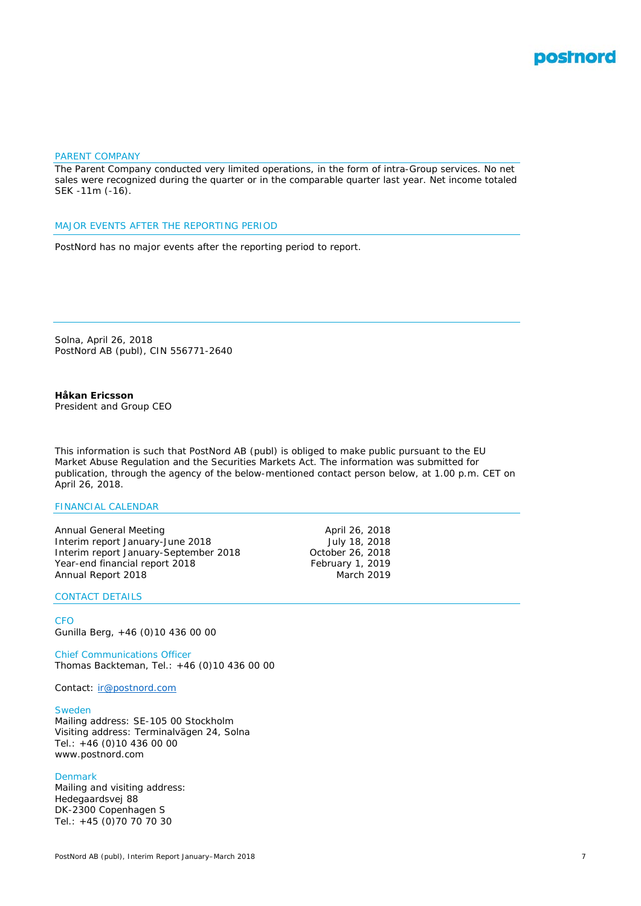

## PARENT COMPANY

The Parent Company conducted very limited operations, in the form of intra-Group services. No net sales were recognized during the quarter or in the comparable quarter last year. Net income totaled SEK -11m (-16).

#### MAJOR EVENTS AFTER THE REPORTING PERIOD

PostNord has no major events after the reporting period to report.

Solna, April 26, 2018 PostNord AB (publ), CIN 556771-2640

## **Håkan Ericsson**

*President and Group CEO*

This information is such that PostNord AB (publ) is obliged to make public pursuant to the EU Market Abuse Regulation and the Securities Markets Act. The information was submitted for publication, through the agency of the below-mentioned contact person below, at 1.00 p.m. CET on April 26, 2018.

#### FINANCIAL CALENDAR

Annual General Meeting<br>
Interim report January-June 2018<br>
July 18, 2018 Interim report January-June 2018 July 18, 2018 Interim report January-September 2018 Year-end financial report 2018 February 1, 2019<br>Annual Report 2018 **February 1, 2019** Annual Report 2018

#### CONTACT DETAILS

#### **CFO**

Gunilla Berg, +46 (0)10 436 00 00

## Chief Communications Officer

Thomas Backteman, Tel.: +46 (0)10 436 00 00

Contact: [ir@postnord.com](mailto:ir@postnord.com)

#### Sweden

Mailing address: SE-105 00 Stockholm Visiting address: Terminalvägen 24, Solna Tel.: +46 (0)10 436 00 00 www.postnord.com

#### Denmark

Mailing and visiting address: Hedegaardsvej 88 DK-2300 Copenhagen S Tel.: +45 (0)70 70 70 30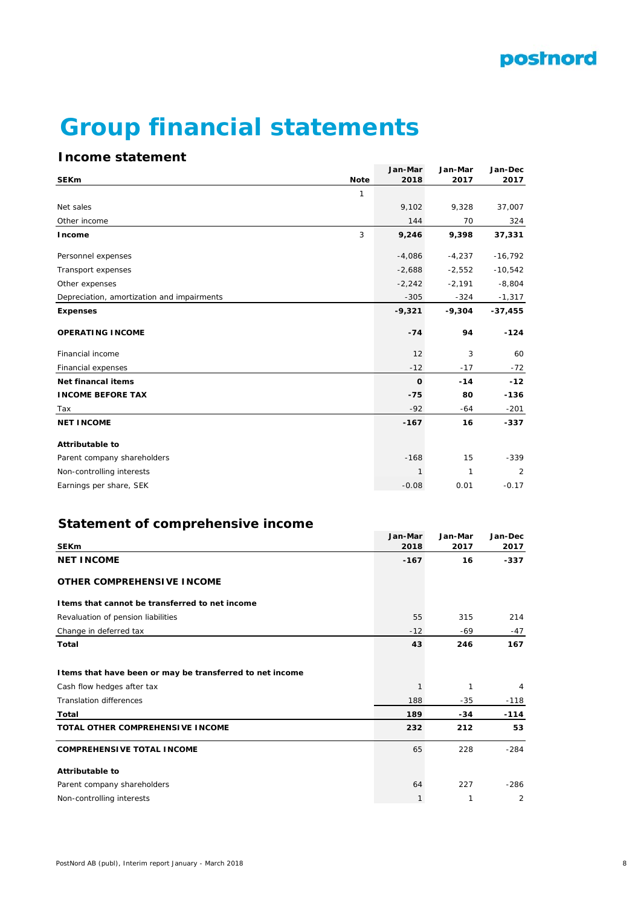

# **Group financial statements**

## **Income statement**

|                                            |             | Jan-Mar      | Jan-Mar  | Jan-Dec        |
|--------------------------------------------|-------------|--------------|----------|----------------|
| <b>SEKm</b>                                | <b>Note</b> | 2018         | 2017     | 2017           |
|                                            | 1           |              |          |                |
| Net sales                                  |             | 9,102        | 9,328    | 37,007         |
| Other income                               |             | 144          | 70       | 324            |
| Income                                     | 3           | 9,246        | 9,398    | 37,331         |
| Personnel expenses                         |             | $-4,086$     | $-4,237$ | $-16,792$      |
| Transport expenses                         |             | $-2,688$     | $-2,552$ | $-10,542$      |
| Other expenses                             |             | $-2,242$     | $-2,191$ | $-8,804$       |
| Depreciation, amortization and impairments |             | $-305$       | $-324$   | $-1,317$       |
| <b>Expenses</b>                            |             | $-9,321$     | $-9,304$ | $-37,455$      |
| <b>OPERATING INCOME</b>                    |             | $-74$        | 94       | $-124$         |
| Financial income                           |             | 12           | 3        | 60             |
| Financial expenses                         |             | $-12$        | $-17$    | $-72$          |
| <b>Net financal items</b>                  |             | $\mathbf 0$  | $-14$    | $-12$          |
| <b>INCOME BEFORE TAX</b>                   |             | $-75$        | 80       | $-136$         |
| Tax                                        |             | $-92$        | $-64$    | $-201$         |
| <b>NET INCOME</b>                          |             | $-167$       | 16       | $-337$         |
| <b>Attributable to</b>                     |             |              |          |                |
| Parent company shareholders                |             | $-168$       | 15       | $-339$         |
| Non-controlling interests                  |             | $\mathbf{1}$ | 1        | $\overline{2}$ |
| Earnings per share, SEK                    |             | $-0.08$      | 0.01     | $-0.17$        |
|                                            |             |              |          |                |

## **Statement of comprehensive income**

|                                                           | Jan-Mar | Jan-Mar | Jan-Dec |
|-----------------------------------------------------------|---------|---------|---------|
| <b>SEKm</b>                                               | 2018    | 2017    | 2017    |
| <b>NET INCOME</b>                                         | $-167$  | 16      | $-337$  |
| <b>OTHER COMPREHENSIVE INCOME</b>                         |         |         |         |
| I tems that cannot be transferred to net income           |         |         |         |
| Revaluation of pension liabilities                        | 55      | 315     | 214     |
| Change in deferred tax                                    | $-12$   | $-69$   | $-47$   |
| <b>Total</b>                                              | 43      | 246     | 167     |
| I tems that have been or may be transferred to net income |         |         |         |
| Cash flow hedges after tax                                |         | 1       | 4       |
| <b>Translation differences</b>                            | 188     | $-35$   | $-118$  |
| Total                                                     | 189     | $-34$   | $-114$  |
| <b>TOTAL OTHER COMPREHENSIVE INCOME</b>                   | 232     | 212     | 53      |
| <b>COMPREHENSIVE TOTAL INCOME</b>                         | 65      | 228     | $-284$  |
| <b>Attributable to</b>                                    |         |         |         |
| Parent company shareholders                               | 64      | 227     | $-286$  |
| Non-controlling interests                                 | 1       | 1       | 2       |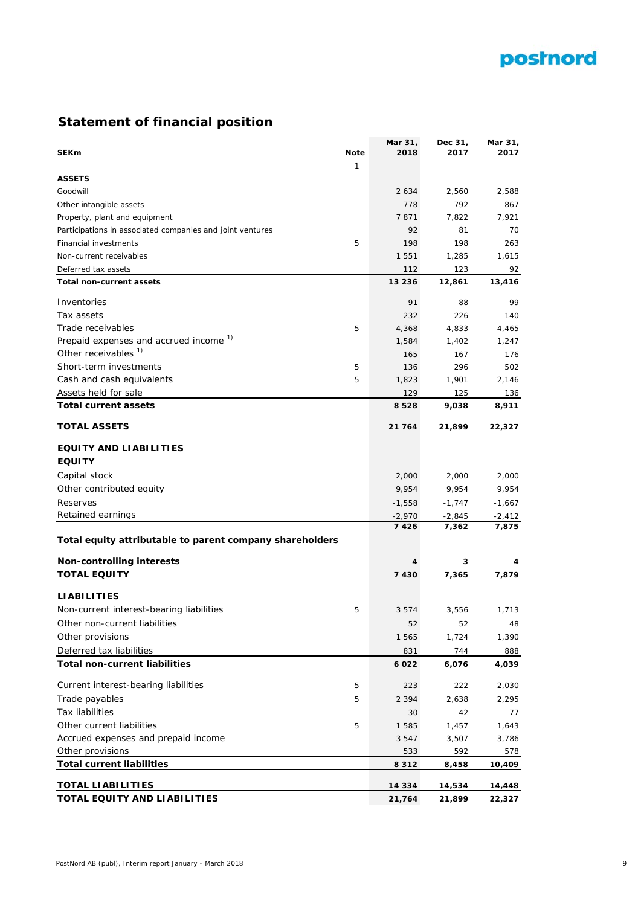## postnord

## **Statement of financial position**

|                                                           |             | Mar 31,          | Dec 31,  | Mar 31,  |
|-----------------------------------------------------------|-------------|------------------|----------|----------|
| <b>SEKm</b>                                               | <b>Note</b> | 2018             | 2017     | 2017     |
|                                                           | 1           |                  |          |          |
| <b>ASSETS</b>                                             |             |                  |          |          |
| Goodwill                                                  |             | 2 6 3 4          | 2,560    | 2.588    |
| Other intangible assets                                   |             | 778              | 792      | 867      |
| Property, plant and equipment                             |             | 7871             | 7,822    | 7,921    |
| Participations in associated companies and joint ventures |             | 92               | 81       | 70       |
| <b>Financial investments</b>                              | 5           | 198              | 198      | 263      |
| Non-current receivables                                   |             | 1 5 5 1          | 1,285    | 1,615    |
| Deferred tax assets                                       |             | 112              | 123      | 92       |
| Total non-current assets                                  |             | 13 2 3 6         | 12,861   | 13,416   |
| Inventories                                               |             | 91               | 88       | 99       |
| Tax assets                                                |             | 232              | 226      | 140      |
| Trade receivables                                         | 5           | 4,368            | 4,833    | 4,465    |
| Prepaid expenses and accrued income <sup>1)</sup>         |             | 1,584            | 1,402    | 1,247    |
| Other receivables <sup>1)</sup>                           |             | 165              | 167      | 176      |
| Short-term investments                                    | 5           | 136              | 296      | 502      |
| Cash and cash equivalents                                 | 5           | 1,823            | 1,901    | 2,146    |
| Assets held for sale                                      |             | 129              | 125      | 136      |
| <b>Total current assets</b>                               |             | 8528             | 9,038    | 8,911    |
|                                                           |             |                  |          |          |
| <b>TOTAL ASSETS</b>                                       |             | 21 764           | 21,899   | 22,327   |
| <b>EQUITY AND LIABILITIES</b>                             |             |                  |          |          |
| <b>EQUITY</b>                                             |             |                  |          |          |
|                                                           |             |                  |          |          |
| Capital stock                                             |             | 2,000            | 2,000    | 2,000    |
| Other contributed equity                                  |             | 9,954            | 9,954    | 9,954    |
| Reserves                                                  |             | -1,558           | $-1,747$ | $-1,667$ |
| Retained earnings                                         |             | $-2,970$<br>7426 | $-2,845$ | $-2,412$ |
| Total equity attributable to parent company shareholders  |             |                  | 7,362    | 7,875    |
|                                                           |             |                  |          |          |
| <b>Non-controlling interests</b>                          |             | 4                | 3        | 4        |
| <b>TOTAL EQUITY</b>                                       |             | 7430             | 7,365    | 7,879    |
|                                                           |             |                  |          |          |
| <b>LIABILITIES</b>                                        |             |                  |          |          |
| Non-current interest-bearing liabilities                  | 5           | 3 5 7 4          | 3,556    | 1,713    |
| Other non-current liabilities                             |             | 52               | 52       | 48       |
| Other provisions                                          |             | 1 565            | 1,724    | 1,390    |
| Deferred tax liabilities                                  |             | 831              | 744      | 888      |
| <b>Total non-current liabilities</b>                      |             | 6022             | 6,076    | 4,039    |
| Current interest-bearing liabilities                      | 5           | 223              | 222      | 2,030    |
| Trade payables                                            | 5           | 2 3 9 4          | 2,638    | 2,295    |
| <b>Tax liabilities</b>                                    |             | 30               | 42       | 77       |
| Other current liabilities                                 | 5           | 1 5 8 5          | 1,457    | 1,643    |
| Accrued expenses and prepaid income                       |             | 3 5 4 7          | 3,507    | 3,786    |
| Other provisions                                          |             | 533              | 592      | 578      |
| <b>Total current liabilities</b>                          |             | 8312             | 8,458    | 10,409   |
|                                                           |             |                  |          |          |
| <b>TOTAL LIABILITIES</b>                                  |             | 14 3 3 4         | 14,534   | 14,448   |
| TOTAL EQUITY AND LIABILITIES                              |             | 21,764           | 21,899   | 22,327   |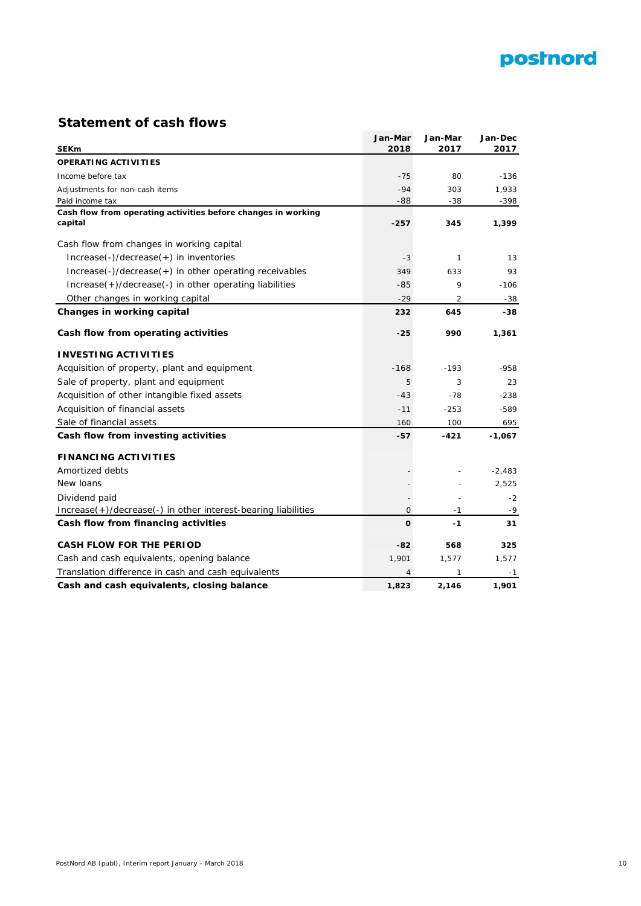

## **Statement of cash flows**

| <b>SEKm</b>                                                              | Jan-Mar<br>2018 | Jan-Mar<br>2017 | Jan-Dec<br>2017 |
|--------------------------------------------------------------------------|-----------------|-----------------|-----------------|
| <b>OPERATING ACTIVITIES</b>                                              |                 |                 |                 |
| Income before tax                                                        | $-75$           | 80              | $-136$          |
| Adjustments for non-cash items                                           | $-94$           | 303             | 1,933           |
| Paid income tax                                                          | $-88$           | $-38$           | -398            |
| Cash flow from operating activities before changes in working<br>capital | $-257$          | 345             | 1,399           |
| Cash flow from changes in working capital                                |                 |                 |                 |
|                                                                          |                 |                 |                 |
| Increase(-)/decrease(+) in inventories                                   | $-3$            | $\mathbf{1}$    | 13              |
| Increase(-)/decrease(+) in other operating receivables                   | 349             | 633             | 93              |
| Increase(+)/decrease(-) in other operating liabilities                   | $-85$           | 9               | $-106$          |
| Other changes in working capital                                         | $-29$           | 2               | $-38$           |
| Changes in working capital                                               | 232             | 645             | -38             |
| Cash flow from operating activities                                      | $-25$           | 990             | 1,361           |
| <b>INVESTING ACTIVITIES</b>                                              |                 |                 |                 |
| Acquisition of property, plant and equipment                             | $-168$          | $-193$          | $-958$          |
| Sale of property, plant and equipment                                    | 5               | 3               | 23              |
| Acquisition of other intangible fixed assets                             | $-43$           | $-78$           | $-238$          |
| Acquisition of financial assets                                          | $-11$           | $-253$          | $-589$          |
| Sale of financial assets                                                 | 160             | 100             | 695             |
| Cash flow from investing activities                                      | -57             | -421            | $-1,067$        |
| <b>FINANCING ACTIVITIES</b>                                              |                 |                 |                 |
| Amortized debts                                                          |                 |                 | $-2,483$        |
| New loans                                                                |                 |                 | 2,525           |
| Dividend paid                                                            |                 |                 | $-2$            |
| Increase(+)/decrease(-) in other interest-bearing liabilities            | $\mathbf{O}$    | $-1$            | -9              |
| Cash flow from financing activities                                      | $\mathbf{o}$    | $-1$            | 31              |
| <b>CASH FLOW FOR THE PERIOD</b>                                          | -82             | 568             | 325             |
| Cash and cash equivalents, opening balance                               | 1,901           | 1,577           | 1,577           |
| Translation difference in cash and cash equivalents                      | 4               | 1               | -1              |
| Cash and cash equivalents, closing balance                               | 1,823           | 2,146           | 1,901           |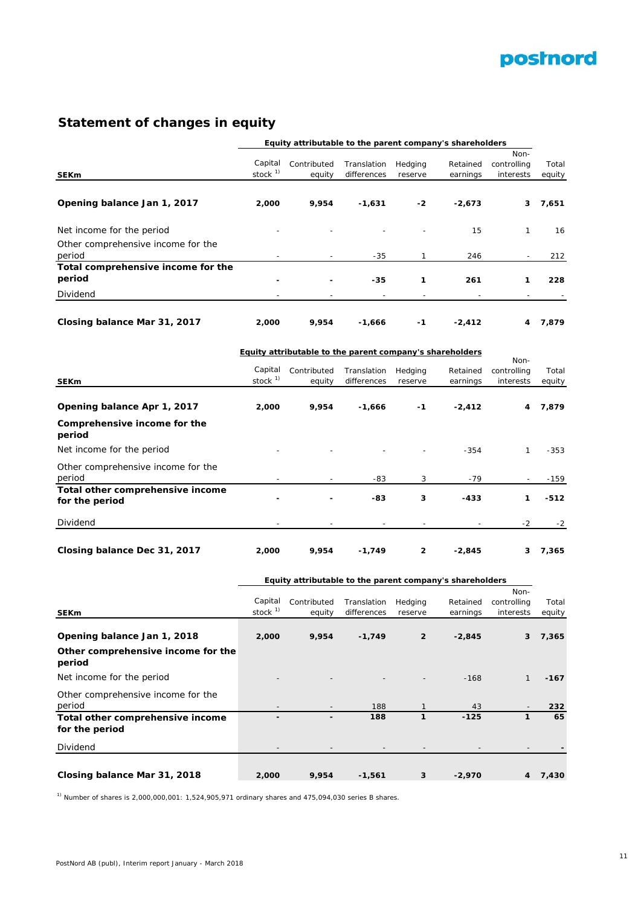

## **Statement of changes in equity**

| Equity attributable to the parent company's shareholders |            |                                                                 |                            |                    |                      |                          |                 |
|----------------------------------------------------------|------------|-----------------------------------------------------------------|----------------------------|--------------------|----------------------|--------------------------|-----------------|
|                                                          |            |                                                                 |                            |                    |                      | Non-                     |                 |
|                                                          | Capital    | Contributed                                                     | Translation                | Hedging            | Retained             | controlling              | Total           |
| <b>SEKm</b>                                              | stock $1)$ | equity                                                          | differences                | reserve            | earnings             | interests                | equity          |
|                                                          |            |                                                                 |                            |                    |                      |                          |                 |
| Opening balance Jan 1, 2017                              | 2,000      | 9,954                                                           | $-1,631$                   | -2                 | $-2,673$             | 3                        | 7,651           |
| Net income for the period                                |            |                                                                 |                            |                    | 15                   | $\mathbf{1}$             | 16              |
|                                                          |            |                                                                 |                            |                    |                      |                          |                 |
| Other comprehensive income for the<br>period             |            |                                                                 |                            |                    |                      |                          |                 |
| Total comprehensive income for the                       |            |                                                                 | $-35$                      | 1                  | 246                  |                          | 212             |
| period                                                   |            |                                                                 | -35                        | 1                  | 261                  | 1                        | 228             |
|                                                          |            |                                                                 |                            |                    |                      |                          |                 |
| Dividend                                                 |            |                                                                 |                            |                    |                      |                          |                 |
| Closing balance Mar 31, 2017                             | 2,000      | 9,954                                                           | $-1,666$                   | $-1$               | $-2,412$             | 4                        | 7,879           |
|                                                          |            | <b>Equity attributable to the parent company's shareholders</b> |                            |                    |                      |                          |                 |
|                                                          | Capital    |                                                                 |                            |                    |                      | Non-                     |                 |
| <b>SEKm</b>                                              | stock $1)$ | Contributed<br>equity                                           | Translation<br>differences | Hedging<br>reserve | Retained<br>earnings | controlling<br>interests | Total<br>equity |
|                                                          |            |                                                                 |                            |                    |                      |                          |                 |
| Opening balance Apr 1, 2017                              | 2,000      | 9,954                                                           | $-1,666$                   | -1                 | $-2,412$             | 4                        | 7,879           |
| Comprehensive income for the<br>period                   |            |                                                                 |                            |                    |                      |                          |                 |
| Net income for the period                                |            |                                                                 |                            |                    | $-354$               | $\mathbf{1}$             | $-353$          |
| Other comprehensive income for the                       |            |                                                                 |                            |                    |                      |                          |                 |
| period                                                   |            |                                                                 | -83                        | 3                  | $-79$                |                          | $-159$          |
| Total other comprehensive income                         |            |                                                                 |                            |                    |                      |                          |                 |
| for the period                                           |            |                                                                 | -83                        | 3                  | -433                 | 1                        | -512            |
| Dividend                                                 |            |                                                                 |                            |                    |                      | $-2$                     | $-2$            |
|                                                          |            |                                                                 |                            |                    |                      |                          |                 |
| Closing balance Dec 31, 2017                             | 2,000      | 9,954                                                           | $-1,749$                   | 2                  | $-2,845$             | 3                        | 7,365           |
|                                                          |            | Equity attributable to the parent company's shareholders        |                            |                    |                      |                          |                 |
|                                                          |            |                                                                 |                            |                    |                      | Non-                     |                 |
|                                                          | Capital    | Contributed                                                     | Translation                | Hedging            | Retained             | controlling              | Total           |
| <b>SEKm</b>                                              | stock $1$  | equity                                                          | differences                | reserve            | earnings             | interests                | equity          |
| Opening balance Jan 1, 2018                              | 2,000      | 9,954                                                           | $-1,749$                   | $\overline{2}$     | $-2,845$             | 3                        | 7,365           |
| Other comprehensive income for the                       |            |                                                                 |                            |                    |                      |                          |                 |
| period                                                   |            |                                                                 |                            |                    |                      |                          |                 |
| Net income for the period                                |            |                                                                 |                            |                    | $-168$               | $\mathbf{1}$             | -167            |
| Other comprehensive income for the                       |            |                                                                 |                            |                    |                      |                          |                 |
| period                                                   |            |                                                                 | 188                        | 1                  | 43                   |                          | 232             |
| Total other comprehensive income<br>for the period       |            |                                                                 | 188                        | 1                  | $-125$               | $\mathbf{1}$             | 65              |

Dividend - - - - - - **-**

**Closing balance Mar 31, 2018 2,000 9,954 -1,561 3 -2,970 4 7,430**

 $1)$  Number of shares is 2,000,000,001: 1,524,905,971 ordinary shares and 475,094,030 series B shares.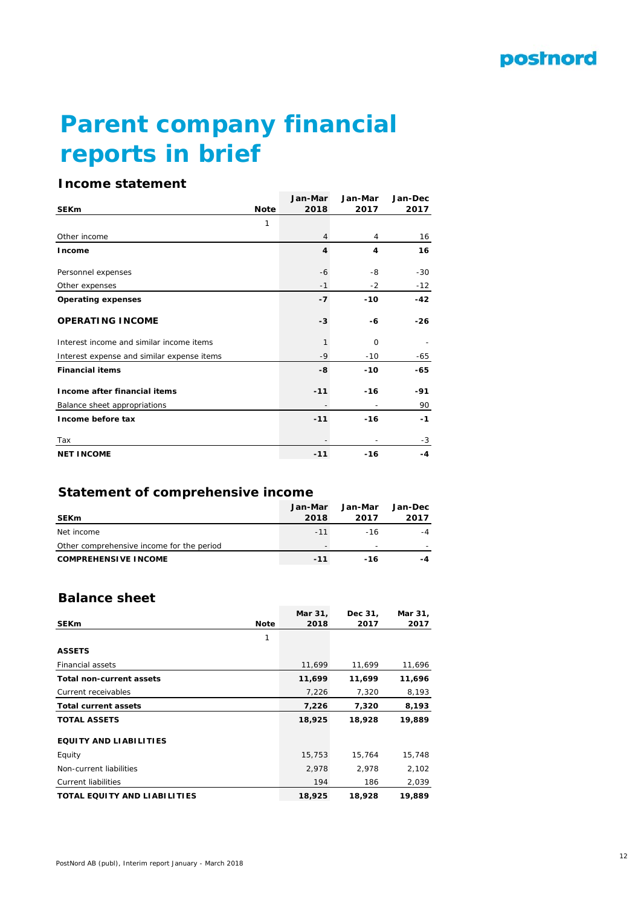# **Parent company financial reports in brief**

## **Income statement**

|                                            |             | Jan-Mar | Jan-Mar | Jan-Dec |
|--------------------------------------------|-------------|---------|---------|---------|
| <b>SEK<sub>m</sub></b>                     | <b>Note</b> | 2018    | 2017    | 2017    |
|                                            | 1           |         |         |         |
| Other income                               |             | 4       | 4       | 16      |
| Income                                     |             | 4       | 4       | 16      |
| Personnel expenses                         |             | -6      | -8      | $-30$   |
| Other expenses                             |             | $-1$    | $-2$    | $-12$   |
| <b>Operating expenses</b>                  |             | $-7$    | $-10$   | $-42$   |
| <b>OPERATING INCOME</b>                    |             | $-3$    | -6      | $-26$   |
| Interest income and similar income items   |             | 1       | 0       |         |
| Interest expense and similar expense items |             | $-9$    | $-10$   | -65     |
| <b>Financial items</b>                     |             | -8      | $-10$   | -65     |
| Income after financial items               |             | $-11$   | $-16$   | -91     |
| Balance sheet appropriations               |             |         |         | 90      |
| Income before tax                          |             | $-11$   | $-16$   | $-1$    |
| Tax                                        |             |         |         | $-3$    |
| <b>NET INCOME</b>                          |             | $-11$   | $-16$   | -4      |

## **Statement of comprehensive income**

| <b>SEKm</b>                               | Jan-Mar<br>2018 | Jan-Mar<br>2017 | Jan-Dec<br>2017 |
|-------------------------------------------|-----------------|-----------------|-----------------|
| Net income                                | $-11$           | $-16$           | $-4$            |
| Other comprehensive income for the period |                 | -               |                 |
| <b>COMPREHENSIVE INCOME</b>               | $-11$           | -16             | -4              |

## **Balance sheet**

|                                     |             | Mar 31, | Dec 31, | Mar 31, |
|-------------------------------------|-------------|---------|---------|---------|
| <b>SEKm</b>                         | <b>Note</b> | 2018    | 2017    | 2017    |
|                                     | 1           |         |         |         |
| <b>ASSETS</b>                       |             |         |         |         |
| <b>Financial assets</b>             |             | 11.699  | 11,699  | 11,696  |
| <b>Total non-current assets</b>     |             | 11,699  | 11,699  | 11,696  |
| Current receivables                 |             | 7,226   | 7,320   | 8,193   |
| <b>Total current assets</b>         |             | 7,226   | 7,320   | 8,193   |
| <b>TOTAL ASSETS</b>                 |             | 18,925  | 18,928  | 19,889  |
| <b>EQUITY AND LIABILITIES</b>       |             |         |         |         |
| Equity                              |             | 15,753  | 15,764  | 15,748  |
| Non-current liabilities             |             | 2,978   | 2,978   | 2,102   |
| <b>Current liabilities</b>          |             | 194     | 186     | 2,039   |
| <b>TOTAL EQUITY AND LIABILITIES</b> |             | 18,925  | 18,928  | 19,889  |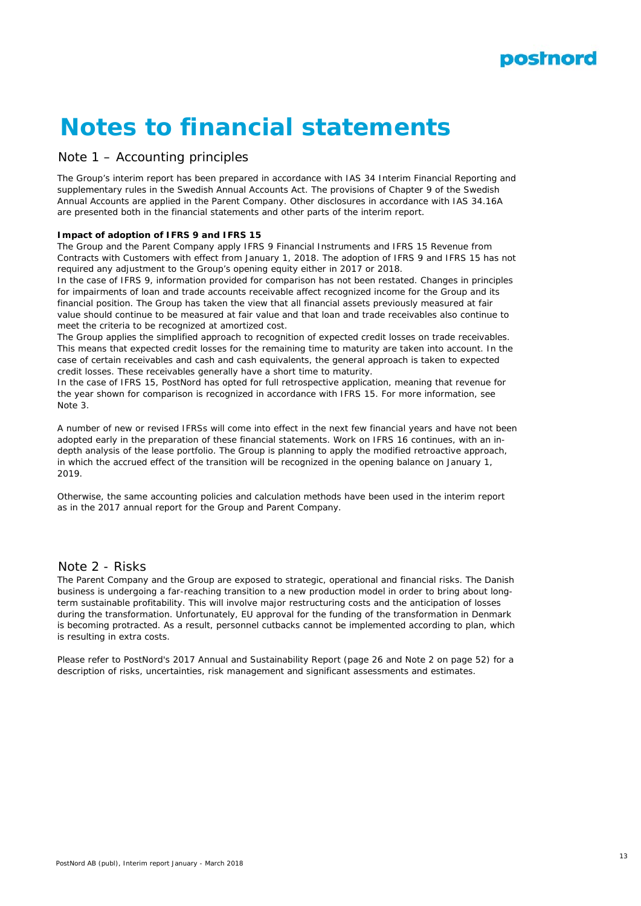

# **Notes to financial statements**

## Note 1 – Accounting principles

The Group's interim report has been prepared in accordance with IAS 34 Interim Financial Reporting and supplementary rules in the Swedish Annual Accounts Act. The provisions of Chapter 9 of the Swedish Annual Accounts are applied in the Parent Company. Other disclosures in accordance with IAS 34.16A are presented both in the financial statements and other parts of the interim report.

#### **Impact of adoption of IFRS 9 and IFRS 15**

The Group and the Parent Company apply IFRS 9 Financial Instruments and IFRS 15 Revenue from Contracts with Customers with effect from January 1, 2018. The adoption of IFRS 9 and IFRS 15 has not required any adjustment to the Group's opening equity either in 2017 or 2018.

In the case of IFRS 9, information provided for comparison has not been restated. Changes in principles for impairments of loan and trade accounts receivable affect recognized income for the Group and its financial position. The Group has taken the view that all financial assets previously measured at fair value should continue to be measured at fair value and that loan and trade receivables also continue to meet the criteria to be recognized at amortized cost.

The Group applies the simplified approach to recognition of expected credit losses on trade receivables. This means that expected credit losses for the remaining time to maturity are taken into account. In the case of certain receivables and cash and cash equivalents, the general approach is taken to expected credit losses. These receivables generally have a short time to maturity.

In the case of IFRS 15, PostNord has opted for full retrospective application, meaning that revenue for the year shown for comparison is recognized in accordance with IFRS 15. For more information, see Note 3.

A number of new or revised IFRSs will come into effect in the next few financial years and have not been adopted early in the preparation of these financial statements. Work on IFRS 16 continues, with an indepth analysis of the lease portfolio. The Group is planning to apply the modified retroactive approach, in which the accrued effect of the transition will be recognized in the opening balance on January 1, 2019.

Otherwise, the same accounting policies and calculation methods have been used in the interim report as in the 2017 annual report for the Group and Parent Company.

## Note 2 - Risks

The Parent Company and the Group are exposed to strategic, operational and financial risks. The Danish business is undergoing a far-reaching transition to a new production model in order to bring about longterm sustainable profitability. This will involve major restructuring costs and the anticipation of losses during the transformation. Unfortunately, EU approval for the funding of the transformation in Denmark is becoming protracted. As a result, personnel cutbacks cannot be implemented according to plan, which is resulting in extra costs.

Please refer to PostNord's 2017 Annual and Sustainability Report (page 26 and Note 2 on page 52) for a description of risks, uncertainties, risk management and significant assessments and estimates.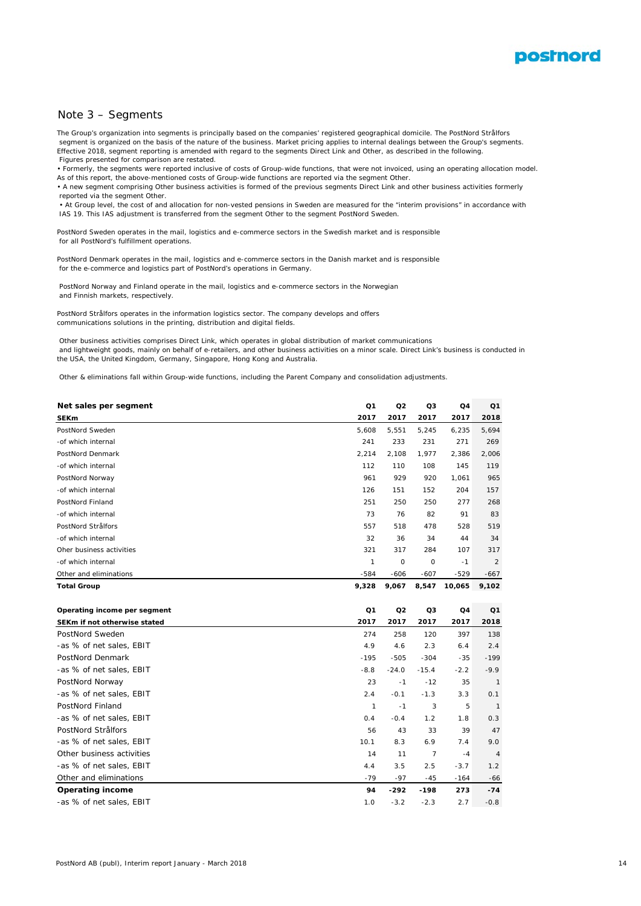

#### Note 3 – Segments

The Group's organization into segments is principally based on the companies' registered geographical domicile. The PostNord Strålfors segment is organized on the basis of the nature of the business. Market pricing applies to internal dealings between the Group's segments. Effective 2018, segment reporting is amended with regard to the segments Direct Link and Other, as described in the following. Figures presented for comparison are restated.

• Formerly, the segments were reported inclusive of costs of Group-wide functions, that were not invoiced, using an operating allocation model. As of this report, the above-mentioned costs of Group-wide functions are reported via the segment Other

• A new segment comprising Other business activities is formed of the previous segments Direct Link and other business activities formerly reported via the segment Other.

 • At Group level, the cost of and allocation for non-vested pensions in Sweden are measured for the "interim provisions" in accordance with IAS 19. This IAS adjustment is transferred from the segment Other to the segment PostNord Sweden.

PostNord Sweden operates in the mail, logistics and e-commerce sectors in the Swedish market and is responsible for all PostNord's fulfillment operations.

PostNord Denmark operates in the mail, logistics and e-commerce sectors in the Danish market and is responsible for the e-commerce and logistics part of PostNord's operations in Germany.

 PostNord Norway and Finland operate in the mail, logistics and e-commerce sectors in the Norwegian and Finnish markets, respectively.

PostNord Strålfors operates in the information logistics sector. The company develops and offers communications solutions in the printing, distribution and digital fields.

 Other business activities comprises Direct Link, which operates in global distribution of market communications and lightweight goods, mainly on behalf of e-retailers, and other business activities on a minor scale. Direct Link's business is conducted in the USA, the United Kingdom, Germany, Singapore, Hong Kong and Australia.

Other & eliminations fall within Group-wide functions, including the Parent Company and consolidation adjustments.

| Net sales per segment        | Q1            | Q <sub>2</sub> | Q3             | Q4             | Q1             |
|------------------------------|---------------|----------------|----------------|----------------|----------------|
| <b>SEKm</b>                  | 2017          | 2017           | 2017           | 2017           | 2018           |
| PostNord Sweden              | 5,608         | 5,551          | 5,245          | 6,235          | 5,694          |
| -of which internal           | 241           | 233            | 231            | 271            | 269            |
| PostNord Denmark             | 2,214         | 2,108          | 1,977          | 2,386          | 2,006          |
| -of which internal           | 112           | 110            | 108            | 145            | 119            |
| PostNord Norway              | 961           | 929            | 920            | 1,061          | 965            |
| -of which internal           | 126           | 151            | 152            | 204            | 157            |
| PostNord Finland             | 251           | 250            | 250            | 277            | 268            |
| -of which internal           | 73            | 76             | 82             | 91             | 83             |
| PostNord Strålfors           | 557           | 518            | 478            | 528            | 519            |
| -of which internal           | 32            | 36             | 34             | 44             | 34             |
| Oher business activities     | 321           | 317            | 284            | 107            | 317            |
| -of which internal           | $\mathcal{I}$ | 0              | 0              | $-1$           | $\overline{2}$ |
| Other and eliminations       | $-584$        | $-606$         | $-607$         | $-529$         | $-667$         |
| <b>Total Group</b>           | 9,328         | 9,067          | 8,547          | 10,065         | 9,102          |
|                              |               |                |                |                |                |
| Operating income per segment | Q1            | Q <sub>2</sub> | Q3             | Q <sub>4</sub> | Q <sub>1</sub> |
| SEKm if not otherwise stated | 2017          | 2017           | 2017           | 2017           | 2018           |
| PostNord Sweden              | 274           | 258            | 120            | 397            | 138            |
| -as % of net sales, EBIT     | 4.9           | 4.6            | 2.3            | 6.4            | 2.4            |
| PostNord Denmark             | $-195$        | $-505$         | $-304$         | $-35$          | $-199$         |
| -as % of net sales, EBIT     | $-8.8$        | $-24.0$        | $-15.4$        | $-2.2$         | $-9.9$         |
| PostNord Norway              | 23            | $-1$           | $-12$          | 35             | $\mathbf{1}$   |
| -as % of net sales, EBIT     | 2.4           | $-0.1$         | $-1.3$         | 3.3            | 0.1            |
| PostNord Finland             | $\mathbf{1}$  | $-1$           | 3              | 5              | $\overline{1}$ |
| -as % of net sales, EBIT     | 0.4           | $-0.4$         | 1.2            | 1.8            | 0.3            |
| PostNord Strålfors           | 56            | 43             | 33             | 39             | 47             |
| -as % of net sales, EBIT     | 10.1          | 8.3            | 6.9            | 7.4            | 9.0            |
| Other business activities    | 14            | 11             | $\overline{7}$ | $-4$           | $\overline{4}$ |
| -as % of net sales, EBIT     | 4.4           | 3.5            | 2.5            | $-3.7$         | 1.2            |
| Other and eliminations       | $-79$         | $-97$          | $-45$          | $-164$         | $-66$          |
| <b>Operating income</b>      | 94            | $-292$         | $-198$         | 273            | $-74$          |
| -as % of net sales, EBIT     | 1.0           | $-3.2$         | $-2.3$         | 2.7            | $-0.8$         |
|                              |               |                |                |                |                |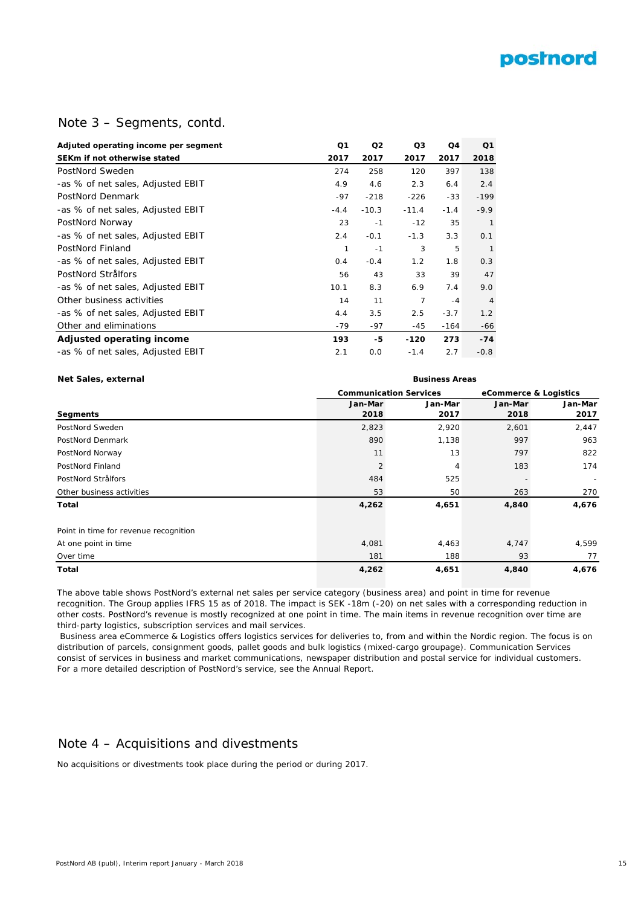

## Note 3 – Segments, contd.

| Adjuted operating income per segment | Q1     | Q <sub>2</sub> | Q3      | Q <sub>4</sub> | Q <sub>1</sub> |
|--------------------------------------|--------|----------------|---------|----------------|----------------|
| SEKm if not otherwise stated         | 2017   | 2017           | 2017    | 2017           | 2018           |
| PostNord Sweden                      | 274    | 258            | 120     | 397            | 138            |
| -as % of net sales, Adjusted EBIT    | 4.9    | 4.6            | 2.3     | 6.4            | 2.4            |
| PostNord Denmark                     | $-97$  | $-218$         | $-226$  | $-33$          | $-199$         |
| -as % of net sales, Adjusted EBIT    | $-4.4$ | $-10.3$        | $-11.4$ | $-1.4$         | $-9.9$         |
| PostNord Norway                      | 23     | $-1$           | $-12$   | 35             | $\mathbf{1}$   |
| -as % of net sales, Adjusted EBIT    | 2.4    | $-0.1$         | $-1.3$  | 3.3            | O.1            |
| PostNord Finland                     | 1      | $-1$           | 3       | 5              | $\mathbf{1}$   |
| -as % of net sales, Adjusted EBIT    | 0.4    | $-0.4$         | 1.2     | 1.8            | 0.3            |
| PostNord Strålfors                   | 56     | 43             | 33      | 39             | 47             |
| -as % of net sales, Adjusted EBIT    | 10.1   | 8.3            | 6.9     | 7.4            | 9.0            |
| Other business activities            | 14     | 11             | 7       | $-4$           | $\overline{4}$ |
| -as % of net sales, Adjusted EBIT    | 4.4    | 3.5            | 2.5     | $-3.7$         | 1.2            |
| Other and eliminations               | $-79$  | -97            | -45     | -164           | -66            |
| Adjusted operating income            | 193    | -5             | $-120$  | 273            | $-74$          |
| -as % of net sales, Adjusted EBIT    | 2.1    | 0.0            | $-1.4$  | 2.7            | $-0.8$         |

#### **Net Sales, external Business Areas**

|                |         |                               | eCommerce & Logistics |  |  |  |
|----------------|---------|-------------------------------|-----------------------|--|--|--|
| Jan-Mar        | Jan-Mar | Jan-Mar                       | Jan-Mar               |  |  |  |
| 2018           | 2017    | 2018                          | 2017                  |  |  |  |
| 2,823          | 2,920   | 2,601                         | 2,447                 |  |  |  |
| 890            | 1,138   | 997                           | 963                   |  |  |  |
| 11             | 13      | 797                           | 822                   |  |  |  |
| $\overline{2}$ | 4       | 183                           | 174                   |  |  |  |
| 484            | 525     |                               |                       |  |  |  |
| 53             | 50      | 263                           | 270                   |  |  |  |
| 4,262          | 4,651   | 4,840                         | 4,676                 |  |  |  |
|                |         |                               |                       |  |  |  |
| 4,081          | 4,463   | 4,747                         | 4,599                 |  |  |  |
| 181            | 188     | 93                            | 77                    |  |  |  |
| 4,262          | 4,651   | 4,840                         | 4,676                 |  |  |  |
|                |         | <b>Communication Services</b> |                       |  |  |  |

The above table shows PostNord's external net sales per service category (business area) and point in time for revenue recognition. The Group applies IFRS 15 as of 2018. The impact is SEK -18m (-20) on net sales with a corresponding reduction in other costs. PostNord's revenue is mostly recognized at one point in time. The main items in revenue recognition over time are third-party logistics, subscription services and mail services.

 Business area eCommerce & Logistics offers logistics services for deliveries to, from and within the Nordic region. The focus is on distribution of parcels, consignment goods, pallet goods and bulk logistics (mixed-cargo groupage). Communication Services consist of services in business and market communications, newspaper distribution and postal service for individual customers. For a more detailed description of PostNord's service, see the Annual Report.

## Note 4 – Acquisitions and divestments

No acquisitions or divestments took place during the period or during 2017.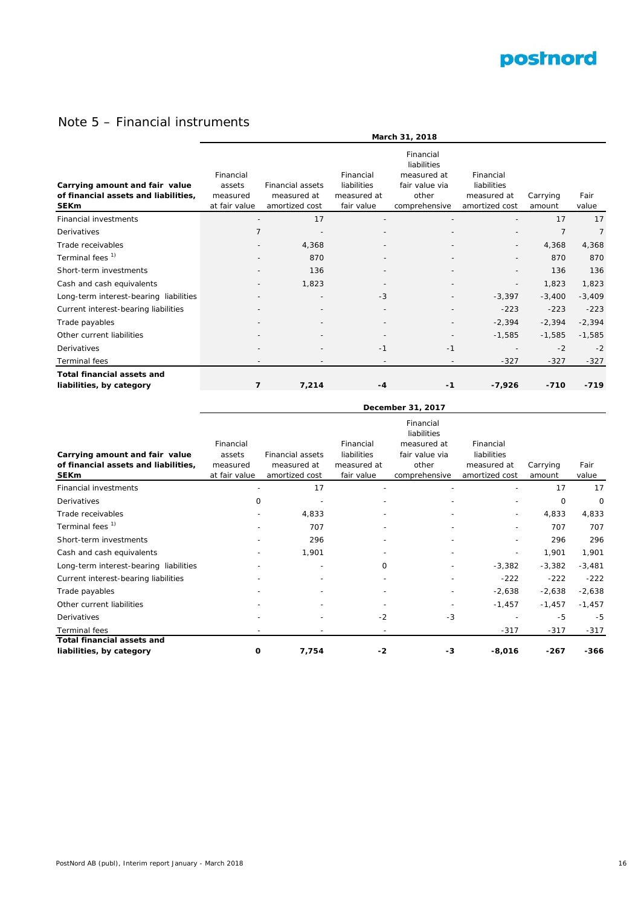

## Note 5 – Financial instruments

|                                                                                       | March 31, 2018                                   |                                                          |                                                       |                                                                                     |                                                           |                    |               |
|---------------------------------------------------------------------------------------|--------------------------------------------------|----------------------------------------------------------|-------------------------------------------------------|-------------------------------------------------------------------------------------|-----------------------------------------------------------|--------------------|---------------|
| Carrying amount and fair value<br>of financial assets and liabilities,<br><b>SEKm</b> | Financial<br>assets<br>measured<br>at fair value | <b>Financial assets</b><br>measured at<br>amortized cost | Financial<br>liabilities<br>measured at<br>fair value | Financial<br>liabilities<br>measured at<br>fair value via<br>other<br>comprehensive | Financial<br>liabilities<br>measured at<br>amortized cost | Carrying<br>amount | Fair<br>value |
| Financial investments                                                                 |                                                  | 17                                                       |                                                       |                                                                                     |                                                           | 17                 | 17            |
| Derivatives                                                                           | 7                                                |                                                          |                                                       |                                                                                     |                                                           | 7                  | 7             |
| Trade receivables                                                                     |                                                  | 4,368                                                    |                                                       |                                                                                     |                                                           | 4,368              | 4,368         |
| Terminal fees <sup>1)</sup>                                                           |                                                  | 870                                                      |                                                       |                                                                                     |                                                           | 870                | 870           |
| Short-term investments                                                                |                                                  | 136                                                      |                                                       |                                                                                     |                                                           | 136                | 136           |
| Cash and cash equivalents                                                             |                                                  | 1,823                                                    |                                                       |                                                                                     |                                                           | 1,823              | 1,823         |
| Long-term interest-bearing liabilities                                                |                                                  | $\overline{\phantom{a}}$                                 | $-3$                                                  |                                                                                     | $-3,397$                                                  | $-3,400$           | $-3,409$      |
| Current interest-bearing liabilities                                                  |                                                  |                                                          |                                                       |                                                                                     | $-223$                                                    | $-223$             | $-223$        |
| Trade payables                                                                        |                                                  |                                                          |                                                       |                                                                                     | $-2,394$                                                  | $-2,394$           | $-2,394$      |
| Other current liabilities                                                             |                                                  | $\overline{\phantom{a}}$                                 | $\overline{\phantom{a}}$                              |                                                                                     | $-1,585$                                                  | $-1,585$           | $-1,585$      |
| <b>Derivatives</b>                                                                    |                                                  |                                                          | $-1$                                                  | $-1$                                                                                |                                                           | $-2$               | $-2$          |
| <b>Terminal</b> fees                                                                  |                                                  |                                                          |                                                       |                                                                                     | $-327$                                                    | $-327$             | $-327$        |
| <b>Total financial assets and</b><br>liabilities, by category                         | $\overline{7}$                                   | 7,214                                                    | $-4$                                                  | $-1$                                                                                | $-7,926$                                                  | $-710$             | $-719$        |

|                                                                                       | December 31, 2017                                |                                                          |                                                       |                                                                                     |                                                           |                    |               |  |
|---------------------------------------------------------------------------------------|--------------------------------------------------|----------------------------------------------------------|-------------------------------------------------------|-------------------------------------------------------------------------------------|-----------------------------------------------------------|--------------------|---------------|--|
| Carrying amount and fair value<br>of financial assets and liabilities,<br><b>SEKm</b> | Financial<br>assets<br>measured<br>at fair value | <b>Financial assets</b><br>measured at<br>amortized cost | Financial<br>liabilities<br>measured at<br>fair value | Financial<br>liabilities<br>measured at<br>fair value via<br>other<br>comprehensive | Financial<br>liabilities<br>measured at<br>amortized cost | Carrying<br>amount | Fair<br>value |  |
| <b>Financial investments</b>                                                          |                                                  | 17                                                       |                                                       |                                                                                     |                                                           | 17                 | 17            |  |
| Derivatives                                                                           | 0                                                |                                                          |                                                       |                                                                                     |                                                           | 0                  | 0             |  |
| Trade receivables                                                                     |                                                  | 4,833                                                    |                                                       |                                                                                     | $\overline{\phantom{a}}$                                  | 4,833              | 4,833         |  |
| Terminal fees <sup>1)</sup>                                                           |                                                  | 707                                                      |                                                       |                                                                                     |                                                           | 707                | 707           |  |
| Short-term investments                                                                |                                                  | 296                                                      |                                                       |                                                                                     |                                                           | 296                | 296           |  |
| Cash and cash equivalents                                                             |                                                  | 1,901                                                    |                                                       |                                                                                     |                                                           | 1,901              | 1,901         |  |
| Long-term interest-bearing liabilities                                                |                                                  | $\overline{\phantom{a}}$                                 | 0                                                     |                                                                                     | $-3,382$                                                  | $-3,382$           | $-3,481$      |  |
| Current interest-bearing liabilities                                                  |                                                  |                                                          |                                                       |                                                                                     | $-222$                                                    | $-222$             | $-222$        |  |
| Trade payables                                                                        |                                                  |                                                          |                                                       |                                                                                     | $-2,638$                                                  | $-2,638$           | $-2,638$      |  |
| Other current liabilities                                                             |                                                  |                                                          |                                                       |                                                                                     | $-1,457$                                                  | $-1,457$           | $-1,457$      |  |
| Derivatives                                                                           |                                                  |                                                          | $-2$                                                  | $-3$                                                                                |                                                           | -5                 | $-5$          |  |
| <b>Terminal fees</b>                                                                  |                                                  |                                                          |                                                       |                                                                                     | $-317$                                                    | $-317$             | $-317$        |  |
| <b>Total financial assets and</b><br>liabilities, by category                         | 0                                                | 7,754                                                    | -2                                                    | -3                                                                                  | $-8,016$                                                  | $-267$             | -366          |  |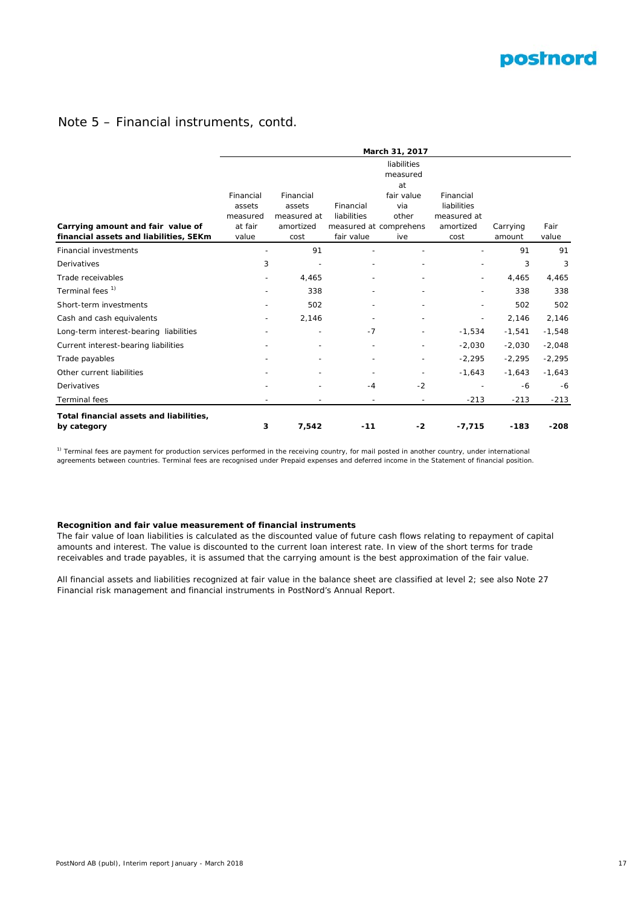## **postnord**

## Note 5 – Financial instruments, contd.

|                                                        | March 31, 2017     |                          |                          |                        |                              |          |          |  |  |  |
|--------------------------------------------------------|--------------------|--------------------------|--------------------------|------------------------|------------------------------|----------|----------|--|--|--|
|                                                        |                    |                          |                          |                        |                              |          |          |  |  |  |
|                                                        | Financial          | Financial                |                          | fair value             | Financial                    |          |          |  |  |  |
|                                                        | assets<br>measured | assets<br>measured at    | Financial<br>liabilities | via<br>other           | liabilities<br>measured at   | Carrying | Fair     |  |  |  |
| Carrying amount and fair value of                      | at fair            | amortized                |                          | measured at comprehens | amortized                    |          |          |  |  |  |
| financial assets and liabilities, SEKm                 | value              | cost                     | fair value               | ive                    | cost                         | amount   | value    |  |  |  |
| <b>Financial investments</b>                           |                    | 91                       |                          |                        |                              | 91       | 91       |  |  |  |
| Derivatives                                            | 3                  |                          |                          |                        |                              | 3        | 3        |  |  |  |
| Trade receivables                                      | $\qquad \qquad -$  | 4,465                    |                          |                        |                              | 4,465    | 4,465    |  |  |  |
| Terminal fees <sup>1)</sup>                            |                    | 338                      |                          |                        |                              | 338      | 338      |  |  |  |
| Short-term investments                                 |                    | 502                      |                          |                        |                              | 502      | 502      |  |  |  |
| Cash and cash equivalents                              | $\qquad \qquad -$  | 2,146                    |                          |                        | $\qquad \qquad \blacksquare$ | 2,146    | 2,146    |  |  |  |
| Long-term interest-bearing liabilities                 |                    | $\qquad \qquad -$        | $-7$                     |                        | $-1,534$                     | $-1,541$ | $-1,548$ |  |  |  |
| Current interest-bearing liabilities                   | $\overline{a}$     | $\overline{\phantom{a}}$ |                          |                        | $-2,030$                     | $-2,030$ | $-2,048$ |  |  |  |
| Trade payables                                         |                    |                          |                          |                        | $-2,295$                     | $-2,295$ | $-2,295$ |  |  |  |
| Other current liabilities                              |                    |                          |                          |                        | $-1,643$                     | $-1,643$ | $-1,643$ |  |  |  |
| Derivatives                                            |                    |                          | $-4$                     | $-2$                   |                              | -6       | $-6$     |  |  |  |
| <b>Terminal fees</b>                                   |                    |                          |                          |                        | $-213$                       | $-213$   | $-213$   |  |  |  |
| Total financial assets and liabilities,<br>by category | 3                  | 7,542                    | $-11$                    | -2                     | $-7,715$                     | $-183$   | $-208$   |  |  |  |

<sup>1)</sup> Terminal fees are payment for production services performed in the receiving country, for mail posted in another country, under international agreements between countries. Terminal fees are recognised under Prepaid expenses and deferred income in the Statement of financial position.

#### **Recognition and fair value measurement of financial instruments**

The fair value of loan liabilities is calculated as the discounted value of future cash flows relating to repayment of capital amounts and interest. The value is discounted to the current loan interest rate. In view of the short terms for trade receivables and trade payables, it is assumed that the carrying amount is the best approximation of the fair value.

All financial assets and liabilities recognized at fair value in the balance sheet are classified at level 2; see also Note 27 Financial risk management and financial instruments in PostNord's Annual Report.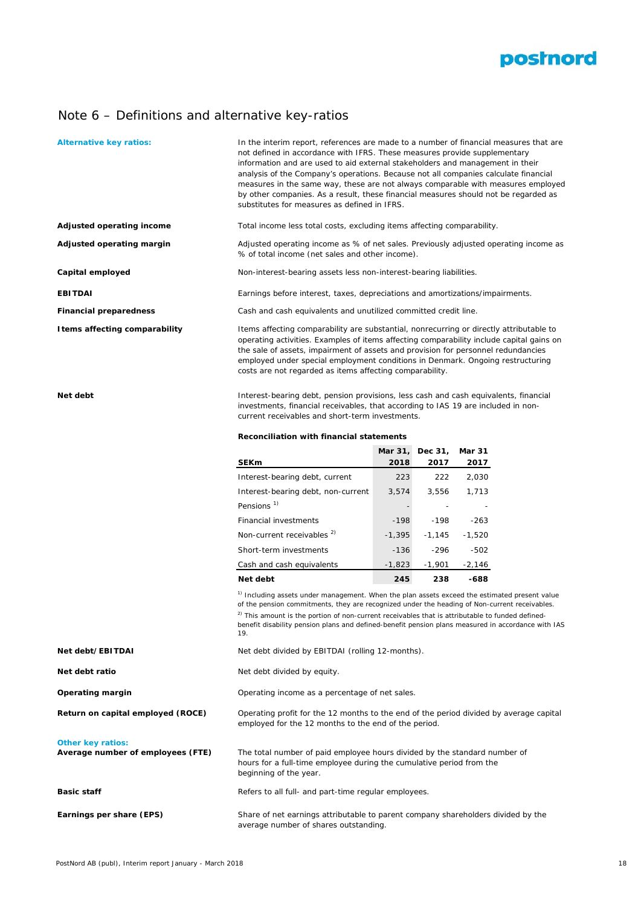

## Note 6 – Definitions and alternative key-ratios

| <b>Alternative key ratios:</b>    | In the interim report, references are made to a number of financial measures that are<br>not defined in accordance with IFRS. These measures provide supplementary<br>information and are used to aid external stakeholders and management in their<br>analysis of the Company's operations. Because not all companies calculate financial<br>measures in the same way, these are not always comparable with measures employed<br>by other companies. As a result, these financial measures should not be regarded as<br>substitutes for measures as defined in IFRS. |                 |                 |                       |  |  |  |  |  |
|-----------------------------------|-----------------------------------------------------------------------------------------------------------------------------------------------------------------------------------------------------------------------------------------------------------------------------------------------------------------------------------------------------------------------------------------------------------------------------------------------------------------------------------------------------------------------------------------------------------------------|-----------------|-----------------|-----------------------|--|--|--|--|--|
| Adjusted operating income         | Total income less total costs, excluding items affecting comparability.                                                                                                                                                                                                                                                                                                                                                                                                                                                                                               |                 |                 |                       |  |  |  |  |  |
| Adjusted operating margin         | Adjusted operating income as % of net sales. Previously adjusted operating income as<br>% of total income (net sales and other income).                                                                                                                                                                                                                                                                                                                                                                                                                               |                 |                 |                       |  |  |  |  |  |
| Capital employed                  | Non-interest-bearing assets less non-interest-bearing liabilities.                                                                                                                                                                                                                                                                                                                                                                                                                                                                                                    |                 |                 |                       |  |  |  |  |  |
| <b>EBITDAI</b>                    | Earnings before interest, taxes, depreciations and amortizations/impairments.                                                                                                                                                                                                                                                                                                                                                                                                                                                                                         |                 |                 |                       |  |  |  |  |  |
| <b>Financial preparedness</b>     | Cash and cash equivalents and unutilized committed credit line.                                                                                                                                                                                                                                                                                                                                                                                                                                                                                                       |                 |                 |                       |  |  |  |  |  |
| I tems affecting comparability    | Items affecting comparability are substantial, nonrecurring or directly attributable to<br>operating activities. Examples of items affecting comparability include capital gains on<br>the sale of assets, impairment of assets and provision for personnel redundancies<br>employed under special employment conditions in Denmark. Ongoing restructuring<br>costs are not regarded as items affecting comparability.                                                                                                                                                |                 |                 |                       |  |  |  |  |  |
| Net debt                          | Interest-bearing debt, pension provisions, less cash and cash equivalents, financial<br>investments, financial receivables, that according to IAS 19 are included in non-<br>current receivables and short-term investments.<br><b>Reconciliation with financial statements</b>                                                                                                                                                                                                                                                                                       |                 |                 |                       |  |  |  |  |  |
|                                   |                                                                                                                                                                                                                                                                                                                                                                                                                                                                                                                                                                       |                 |                 |                       |  |  |  |  |  |
|                                   |                                                                                                                                                                                                                                                                                                                                                                                                                                                                                                                                                                       |                 |                 |                       |  |  |  |  |  |
|                                   | <b>SEKm</b>                                                                                                                                                                                                                                                                                                                                                                                                                                                                                                                                                           | Mar 31,<br>2018 | Dec 31,<br>2017 | <b>Mar 31</b><br>2017 |  |  |  |  |  |
|                                   | Interest-bearing debt, current                                                                                                                                                                                                                                                                                                                                                                                                                                                                                                                                        | 223             | 222             | 2,030                 |  |  |  |  |  |
|                                   | Interest-bearing debt, non-current                                                                                                                                                                                                                                                                                                                                                                                                                                                                                                                                    | 3,574           | 3,556           | 1,713                 |  |  |  |  |  |
|                                   | Pensions <sup>1)</sup>                                                                                                                                                                                                                                                                                                                                                                                                                                                                                                                                                |                 |                 |                       |  |  |  |  |  |
|                                   | Financial investments                                                                                                                                                                                                                                                                                                                                                                                                                                                                                                                                                 | $-198$          | $-198$          | $-263$                |  |  |  |  |  |
|                                   | Non-current receivables <sup>2)</sup>                                                                                                                                                                                                                                                                                                                                                                                                                                                                                                                                 | $-1,395$        | $-1,145$        | $-1,520$              |  |  |  |  |  |
|                                   | Short-term investments                                                                                                                                                                                                                                                                                                                                                                                                                                                                                                                                                | $-136$          | $-296$          | $-502$                |  |  |  |  |  |
|                                   | Cash and cash equivalents                                                                                                                                                                                                                                                                                                                                                                                                                                                                                                                                             | $-1,823$        | $-1,901$        | $-2,146$              |  |  |  |  |  |
|                                   | Net debt                                                                                                                                                                                                                                                                                                                                                                                                                                                                                                                                                              | 245             | 238             | -688                  |  |  |  |  |  |
|                                   | <sup>1)</sup> Including assets under management. When the plan assets exceed the estimated present value<br>of the pension commitments, they are recognized under the heading of Non-current receivables.<br><sup>2)</sup> This amount is the portion of non-current receivables that is attributable to funded defined-<br>benefit disability pension plans and defined-benefit pension plans measured in accordance with IAS<br>19.                                                                                                                                 |                 |                 |                       |  |  |  |  |  |
| Net debt/EBITDAI                  | Net debt divided by EBITDAI (rolling 12-months).                                                                                                                                                                                                                                                                                                                                                                                                                                                                                                                      |                 |                 |                       |  |  |  |  |  |
| Net debt ratio                    | Net debt divided by equity.                                                                                                                                                                                                                                                                                                                                                                                                                                                                                                                                           |                 |                 |                       |  |  |  |  |  |
| Operating margin                  | Operating income as a percentage of net sales.                                                                                                                                                                                                                                                                                                                                                                                                                                                                                                                        |                 |                 |                       |  |  |  |  |  |
| Return on capital employed (ROCE) | Operating profit for the 12 months to the end of the period divided by average capital<br>employed for the 12 months to the end of the period.                                                                                                                                                                                                                                                                                                                                                                                                                        |                 |                 |                       |  |  |  |  |  |

average number of shares outstanding.

Refers to all full- and part-time regular employees.

beginning of the year.

Share of net earnings attributable to parent company shareholders divided by the

hours for a full-time employee during the cumulative period from the

**Basic staff**

**Earnings per share (EPS)**